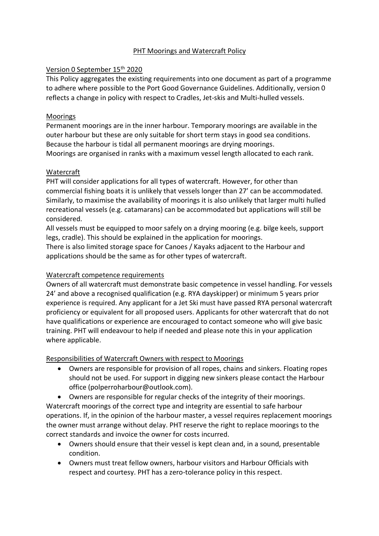# PHT Moorings and Watercraft Policy

## Version 0 September 15th 2020

This Policy aggregates the existing requirements into one document as part of a programme to adhere where possible to the Port Good Governance Guidelines. Additionally, version 0 reflects a change in policy with respect to Cradles, Jet-skis and Multi-hulled vessels.

### Moorings

Permanent moorings are in the inner harbour. Temporary moorings are available in the outer harbour but these are only suitable for short term stays in good sea conditions. Because the harbour is tidal all permanent moorings are drying moorings. Moorings are organised in ranks with a maximum vessel length allocated to each rank.

### Watercraft

PHT will consider applications for all types of watercraft. However, for other than commercial fishing boats it is unlikely that vessels longer than 27' can be accommodated. Similarly, to maximise the availability of moorings it is also unlikely that larger multi hulled recreational vessels (e.g. catamarans) can be accommodated but applications will still be considered.

All vessels must be equipped to moor safely on a drying mooring (e.g. bilge keels, support legs, cradle). This should be explained in the application for moorings.

There is also limited storage space for Canoes / Kayaks adjacent to the Harbour and applications should be the same as for other types of watercraft.

# Watercraft competence requirements

Owners of all watercraft must demonstrate basic competence in vessel handling. For vessels 24' and above a recognised qualification (e.g. RYA dayskipper) or minimum 5 years prior experience is required. Any applicant for a Jet Ski must have passed RYA personal watercraft proficiency or equivalent for all proposed users. Applicants for other watercraft that do not have qualifications or experience are encouraged to contact someone who will give basic training. PHT will endeavour to help if needed and please note this in your application where applicable.

# Responsibilities of Watercraft Owners with respect to Moorings

• Owners are responsible for provision of all ropes, chains and sinkers. Floating ropes should not be used. For support in digging new sinkers please contact the Harbour office (polperroharbour@outlook.com).

• Owners are responsible for regular checks of the integrity of their moorings. Watercraft moorings of the correct type and integrity are essential to safe harbour operations. If, in the opinion of the harbour master, a vessel requires replacement moorings the owner must arrange without delay. PHT reserve the right to replace moorings to the correct standards and invoice the owner for costs incurred.

- Owners should ensure that their vessel is kept clean and, in a sound, presentable condition.
- Owners must treat fellow owners, harbour visitors and Harbour Officials with respect and courtesy. PHT has a zero-tolerance policy in this respect.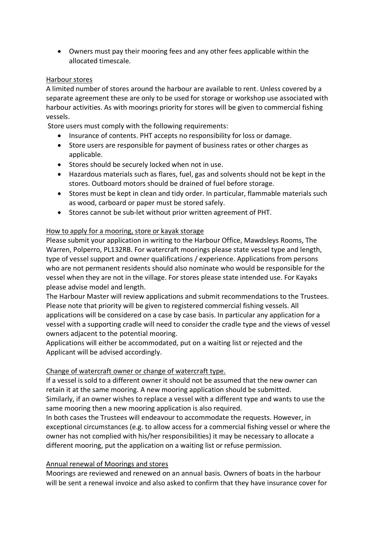• Owners must pay their mooring fees and any other fees applicable within the allocated timescale.

#### Harbour stores

A limited number of stores around the harbour are available to rent. Unless covered by a separate agreement these are only to be used for storage or workshop use associated with harbour activities. As with moorings priority for stores will be given to commercial fishing vessels.

Store users must comply with the following requirements:

- Insurance of contents. PHT accepts no responsibility for loss or damage.
- Store users are responsible for payment of business rates or other charges as applicable.
- Stores should be securely locked when not in use.
- Hazardous materials such as flares, fuel, gas and solvents should not be kept in the stores. Outboard motors should be drained of fuel before storage.
- Stores must be kept in clean and tidy order. In particular, flammable materials such as wood, carboard or paper must be stored safely.
- Stores cannot be sub-let without prior written agreement of PHT.

### How to apply for a mooring, store or kayak storage

Please submit your application in writing to the Harbour Office, Mawdsleys Rooms, The Warren, Polperro, PL132RB. For watercraft moorings please state vessel type and length, type of vessel support and owner qualifications / experience. Applications from persons who are not permanent residents should also nominate who would be responsible for the vessel when they are not in the village. For stores please state intended use. For Kayaks please advise model and length.

The Harbour Master will review applications and submit recommendations to the Trustees. Please note that priority will be given to registered commercial fishing vessels. All applications will be considered on a case by case basis. In particular any application for a vessel with a supporting cradle will need to consider the cradle type and the views of vessel owners adjacent to the potential mooring.

Applications will either be accommodated, put on a waiting list or rejected and the Applicant will be advised accordingly.

#### Change of watercraft owner or change of watercraft type.

If a vessel is sold to a different owner it should not be assumed that the new owner can retain it at the same mooring. A new mooring application should be submitted. Similarly, if an owner wishes to replace a vessel with a different type and wants to use the same mooring then a new mooring application is also required.

In both cases the Trustees will endeavour to accommodate the requests. However, in exceptional circumstances (e.g. to allow access for a commercial fishing vessel or where the owner has not complied with his/her responsibilities) it may be necessary to allocate a different mooring, put the application on a waiting list or refuse permission.

#### Annual renewal of Moorings and stores

Moorings are reviewed and renewed on an annual basis. Owners of boats in the harbour will be sent a renewal invoice and also asked to confirm that they have insurance cover for